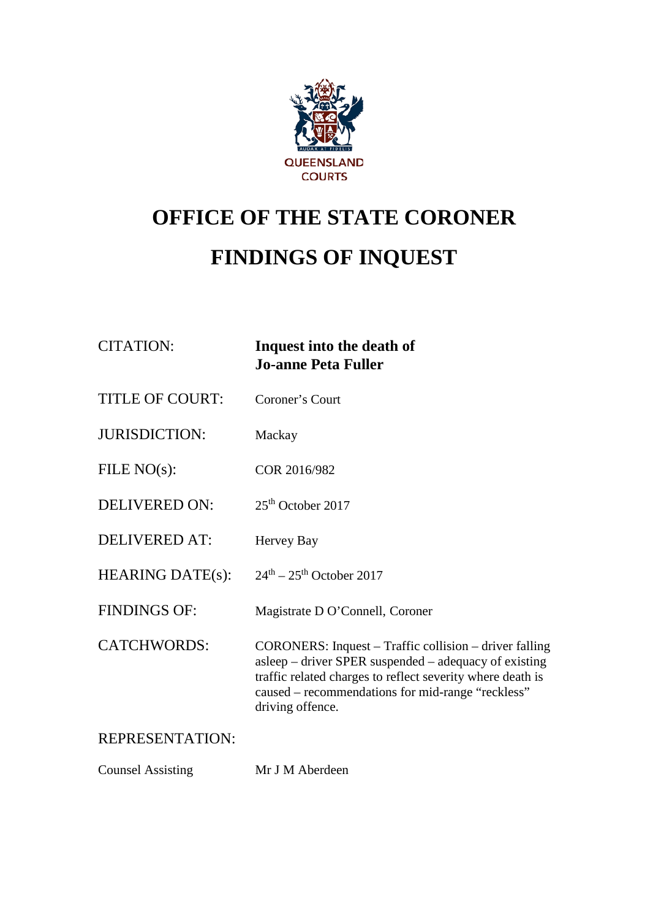

# **OFFICE OF THE STATE CORONER FINDINGS OF INQUEST**

| <b>CITATION:</b>         | Inquest into the death of<br><b>Jo-anne Peta Fuller</b>                                                                                                                                                                                                |
|--------------------------|--------------------------------------------------------------------------------------------------------------------------------------------------------------------------------------------------------------------------------------------------------|
| <b>TITLE OF COURT:</b>   | Coroner's Court                                                                                                                                                                                                                                        |
| <b>JURISDICTION:</b>     | Mackay                                                                                                                                                                                                                                                 |
| FILE $NO(s)$ :           | COR 2016/982                                                                                                                                                                                                                                           |
| <b>DELIVERED ON:</b>     | $25th$ October 2017                                                                                                                                                                                                                                    |
| <b>DELIVERED AT:</b>     | Hervey Bay                                                                                                                                                                                                                                             |
| <b>HEARING DATE(s):</b>  | $24th - 25th$ October 2017                                                                                                                                                                                                                             |
| <b>FINDINGS OF:</b>      | Magistrate D O'Connell, Coroner                                                                                                                                                                                                                        |
| <b>CATCHWORDS:</b>       | CORONERS: Inquest – Traffic collision – driver falling<br>asleep – driver SPER suspended – adequacy of existing<br>traffic related charges to reflect severity where death is<br>caused – recommendations for mid-range "reckless"<br>driving offence. |
| <b>REPRESENTATION:</b>   |                                                                                                                                                                                                                                                        |
| <b>Counsel Assisting</b> | Mr J M Aberdeen                                                                                                                                                                                                                                        |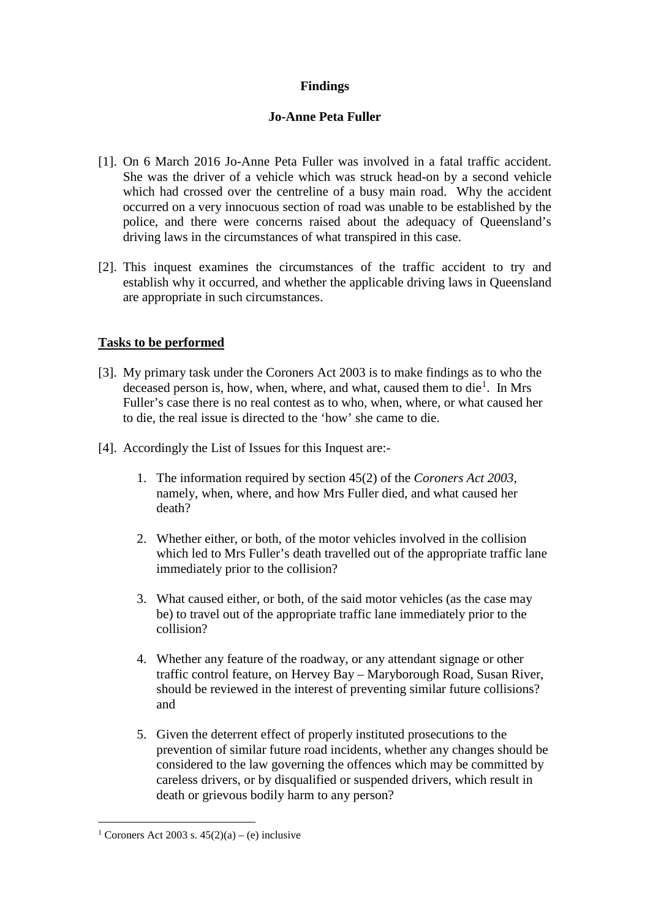# **Findings**

## **Jo-Anne Peta Fuller**

- [1]. On 6 March 2016 Jo-Anne Peta Fuller was involved in a fatal traffic accident. She was the driver of a vehicle which was struck head-on by a second vehicle which had crossed over the centreline of a busy main road. Why the accident occurred on a very innocuous section of road was unable to be established by the police, and there were concerns raised about the adequacy of Queensland's driving laws in the circumstances of what transpired in this case.
- [2]. This inquest examines the circumstances of the traffic accident to try and establish why it occurred, and whether the applicable driving laws in Queensland are appropriate in such circumstances.

# **Tasks to be performed**

- [3]. My primary task under the Coroners Act 2003 is to make findings as to who the deceased person is, how, when, where, and what, caused them to die<sup>[1](#page-1-0)</sup>. In Mrs Fuller's case there is no real contest as to who, when, where, or what caused her to die, the real issue is directed to the 'how' she came to die.
- [4]. Accordingly the List of Issues for this Inquest are:-
	- 1. The information required by section 45(2) of the *Coroners Act 2003*, namely, when, where, and how Mrs Fuller died, and what caused her death?
	- 2. Whether either, or both, of the motor vehicles involved in the collision which led to Mrs Fuller's death travelled out of the appropriate traffic lane immediately prior to the collision?
	- 3. What caused either, or both, of the said motor vehicles (as the case may be) to travel out of the appropriate traffic lane immediately prior to the collision?
	- 4. Whether any feature of the roadway, or any attendant signage or other traffic control feature, on Hervey Bay – Maryborough Road, Susan River, should be reviewed in the interest of preventing similar future collisions? and
	- 5. Given the deterrent effect of properly instituted prosecutions to the prevention of similar future road incidents, whether any changes should be considered to the law governing the offences which may be committed by careless drivers, or by disqualified or suspended drivers, which result in death or grievous bodily harm to any person?

<span id="page-1-0"></span><sup>&</sup>lt;sup>1</sup> Coroners Act 2003 s.  $45(2)(a) - (e)$  inclusive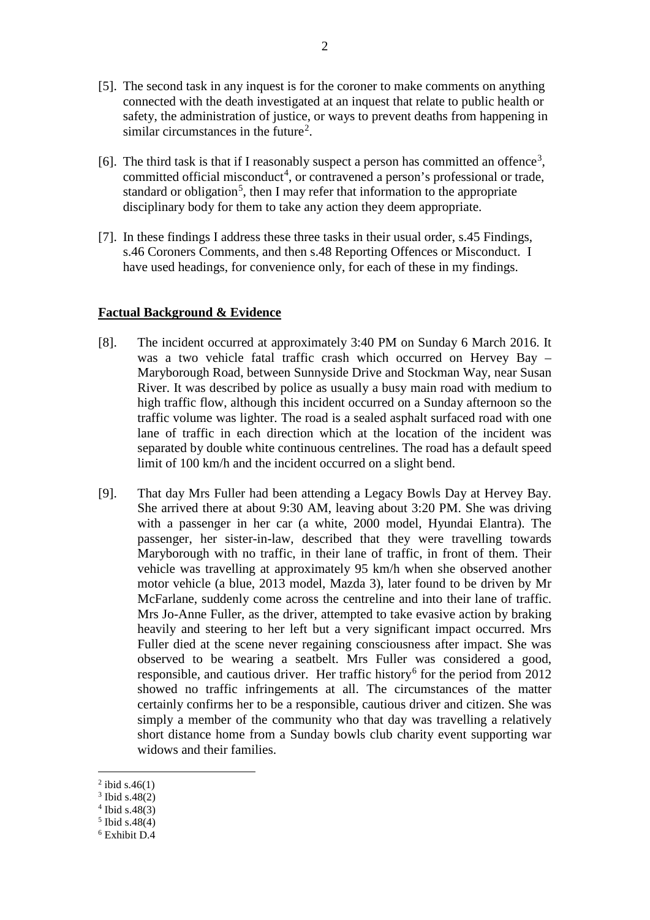- [5]. The second task in any inquest is for the coroner to make comments on anything connected with the death investigated at an inquest that relate to public health or safety, the administration of justice, or ways to prevent deaths from happening in similar circumstances in the future<sup>[2](#page-2-0)</sup>.
- [6]. The third task is that if I reasonably suspect a person has committed an offence<sup>[3](#page-2-1)</sup>, committed official misconduct<sup>[4](#page-2-2)</sup>, or contravened a person's professional or trade, standard or obligation<sup>[5](#page-2-3)</sup>, then I may refer that information to the appropriate disciplinary body for them to take any action they deem appropriate.
- [7]. In these findings I address these three tasks in their usual order, s.45 Findings, s.46 Coroners Comments, and then s.48 Reporting Offences or Misconduct. I have used headings, for convenience only, for each of these in my findings.

#### **Factual Background & Evidence**

- [8]. The incident occurred at approximately 3:40 PM on Sunday 6 March 2016. It was a two vehicle fatal traffic crash which occurred on Hervey Bay – Maryborough Road, between Sunnyside Drive and Stockman Way, near Susan River. It was described by police as usually a busy main road with medium to high traffic flow, although this incident occurred on a Sunday afternoon so the traffic volume was lighter. The road is a sealed asphalt surfaced road with one lane of traffic in each direction which at the location of the incident was separated by double white continuous centrelines. The road has a default speed limit of 100 km/h and the incident occurred on a slight bend.
- [9]. That day Mrs Fuller had been attending a Legacy Bowls Day at Hervey Bay. She arrived there at about 9:30 AM, leaving about 3:20 PM. She was driving with a passenger in her car (a white, 2000 model, Hyundai Elantra). The passenger, her sister-in-law, described that they were travelling towards Maryborough with no traffic, in their lane of traffic, in front of them. Their vehicle was travelling at approximately 95 km/h when she observed another motor vehicle (a blue, 2013 model, Mazda 3), later found to be driven by Mr McFarlane, suddenly come across the centreline and into their lane of traffic. Mrs Jo-Anne Fuller, as the driver, attempted to take evasive action by braking heavily and steering to her left but a very significant impact occurred. Mrs Fuller died at the scene never regaining consciousness after impact. She was observed to be wearing a seatbelt. Mrs Fuller was considered a good, responsible, and cautious driver. Her traffic history<sup>[6](#page-2-4)</sup> for the period from 2012 showed no traffic infringements at all. The circumstances of the matter certainly confirms her to be a responsible, cautious driver and citizen. She was simply a member of the community who that day was travelling a relatively short distance home from a Sunday bowls club charity event supporting war widows and their families.

<span id="page-2-0"></span> $^{2}$  ibid s.46(1)

<span id="page-2-1"></span><sup>3</sup> Ibid s.48(2)

<span id="page-2-2"></span> $4$  Ibid s.48(3)

<span id="page-2-3"></span><sup>5</sup> Ibid s.48(4)

<span id="page-2-4"></span><sup>6</sup> Exhibit D.4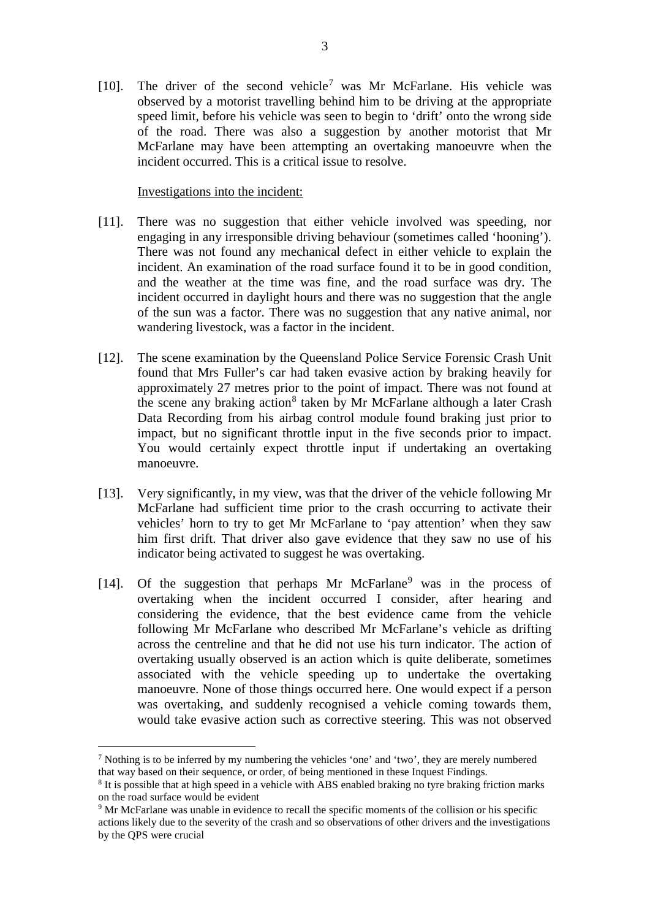[10]. The driver of the second vehicle<sup>[7](#page-3-0)</sup> was Mr McFarlane. His vehicle was observed by a motorist travelling behind him to be driving at the appropriate speed limit, before his vehicle was seen to begin to 'drift' onto the wrong side of the road. There was also a suggestion by another motorist that Mr McFarlane may have been attempting an overtaking manoeuvre when the incident occurred. This is a critical issue to resolve.

#### Investigations into the incident:

- [11]. There was no suggestion that either vehicle involved was speeding, nor engaging in any irresponsible driving behaviour (sometimes called 'hooning'). There was not found any mechanical defect in either vehicle to explain the incident. An examination of the road surface found it to be in good condition, and the weather at the time was fine, and the road surface was dry. The incident occurred in daylight hours and there was no suggestion that the angle of the sun was a factor. There was no suggestion that any native animal, nor wandering livestock, was a factor in the incident.
- [12]. The scene examination by the Queensland Police Service Forensic Crash Unit found that Mrs Fuller's car had taken evasive action by braking heavily for approximately 27 metres prior to the point of impact. There was not found at the scene any braking action<sup>[8](#page-3-1)</sup> taken by Mr McFarlane although a later Crash Data Recording from his airbag control module found braking just prior to impact, but no significant throttle input in the five seconds prior to impact. You would certainly expect throttle input if undertaking an overtaking manoeuvre.
- [13]. Very significantly, in my view, was that the driver of the vehicle following Mr McFarlane had sufficient time prior to the crash occurring to activate their vehicles' horn to try to get Mr McFarlane to 'pay attention' when they saw him first drift. That driver also gave evidence that they saw no use of his indicator being activated to suggest he was overtaking.
- [14]. Of the suggestion that perhaps Mr McFarlane<sup>[9](#page-3-2)</sup> was in the process of overtaking when the incident occurred I consider, after hearing and considering the evidence, that the best evidence came from the vehicle following Mr McFarlane who described Mr McFarlane's vehicle as drifting across the centreline and that he did not use his turn indicator. The action of overtaking usually observed is an action which is quite deliberate, sometimes associated with the vehicle speeding up to undertake the overtaking manoeuvre. None of those things occurred here. One would expect if a person was overtaking, and suddenly recognised a vehicle coming towards them, would take evasive action such as corrective steering. This was not observed

<span id="page-3-0"></span> $<sup>7</sup>$  Nothing is to be inferred by my numbering the vehicles 'one' and 'two', they are merely numbered</sup> that way based on their sequence, or order, of being mentioned in these Inquest Findings.

<span id="page-3-1"></span><sup>8</sup> It is possible that at high speed in a vehicle with ABS enabled braking no tyre braking friction marks on the road surface would be evident

<span id="page-3-2"></span><sup>9</sup> Mr McFarlane was unable in evidence to recall the specific moments of the collision or his specific actions likely due to the severity of the crash and so observations of other drivers and the investigations by the QPS were crucial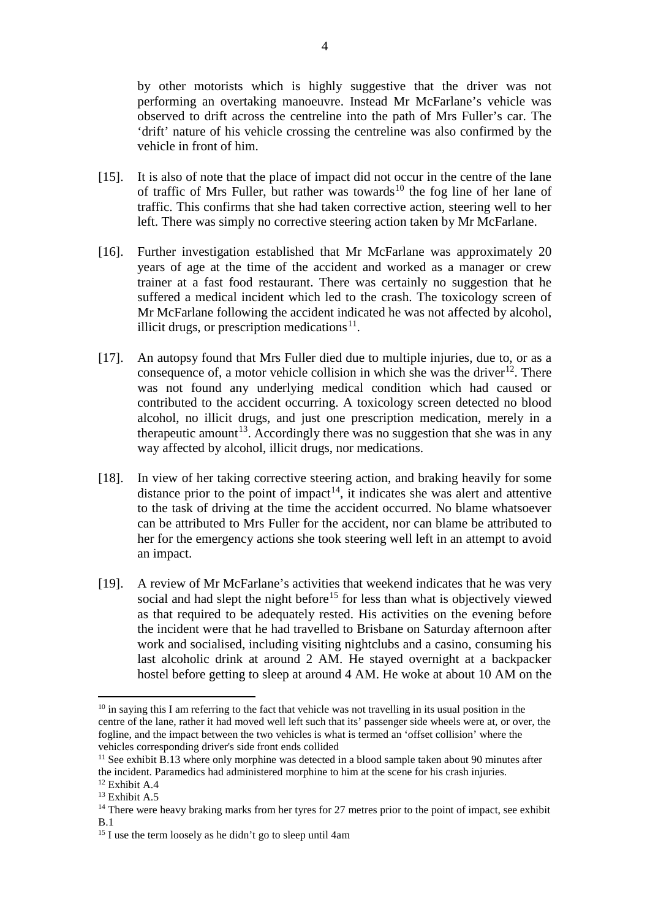by other motorists which is highly suggestive that the driver was not performing an overtaking manoeuvre. Instead Mr McFarlane's vehicle was observed to drift across the centreline into the path of Mrs Fuller's car. The 'drift' nature of his vehicle crossing the centreline was also confirmed by the vehicle in front of him.

- [15]. It is also of note that the place of impact did not occur in the centre of the lane of traffic of Mrs Fuller, but rather was towards<sup>[10](#page-4-0)</sup> the fog line of her lane of traffic. This confirms that she had taken corrective action, steering well to her left. There was simply no corrective steering action taken by Mr McFarlane.
- [16]. Further investigation established that Mr McFarlane was approximately 20 years of age at the time of the accident and worked as a manager or crew trainer at a fast food restaurant. There was certainly no suggestion that he suffered a medical incident which led to the crash. The toxicology screen of Mr McFarlane following the accident indicated he was not affected by alcohol, illicit drugs, or prescription medications $11$ .
- [17]. An autopsy found that Mrs Fuller died due to multiple injuries, due to, or as a consequence of, a motor vehicle collision in which she was the driver<sup>[12](#page-4-2)</sup>. There was not found any underlying medical condition which had caused or contributed to the accident occurring. A toxicology screen detected no blood alcohol, no illicit drugs, and just one prescription medication, merely in a therapeutic amount<sup>[13](#page-4-3)</sup>. Accordingly there was no suggestion that she was in any way affected by alcohol, illicit drugs, nor medications.
- [18]. In view of her taking corrective steering action, and braking heavily for some distance prior to the point of impact<sup>14</sup>, it indicates she was alert and attentive to the task of driving at the time the accident occurred. No blame whatsoever can be attributed to Mrs Fuller for the accident, nor can blame be attributed to her for the emergency actions she took steering well left in an attempt to avoid an impact.
- [19]. A review of Mr McFarlane's activities that weekend indicates that he was very social and had slept the night before<sup>[15](#page-4-5)</sup> for less than what is objectively viewed as that required to be adequately rested. His activities on the evening before the incident were that he had travelled to Brisbane on Saturday afternoon after work and socialised, including visiting nightclubs and a casino, consuming his last alcoholic drink at around 2 AM. He stayed overnight at a backpacker hostel before getting to sleep at around 4 AM. He woke at about 10 AM on the

<span id="page-4-0"></span> $10$  in saying this I am referring to the fact that vehicle was not travelling in its usual position in the centre of the lane, rather it had moved well left such that its' passenger side wheels were at, or over, the fogline, and the impact between the two vehicles is what is termed an 'offset collision' where the vehicles corresponding driver's side front ends collided <u>.</u>

<span id="page-4-1"></span><sup>&</sup>lt;sup>11</sup> See exhibit B.13 where only morphine was detected in a blood sample taken about 90 minutes after the incident. Paramedics had administered morphine to him at the scene for his crash injuries. <sup>12</sup> Exhibit A.4

<span id="page-4-3"></span><span id="page-4-2"></span><sup>&</sup>lt;sup>13</sup> Exhibit A.5

<span id="page-4-4"></span><sup>&</sup>lt;sup>14</sup> There were heavy braking marks from her tyres for 27 metres prior to the point of impact, see exhibit B.1

<span id="page-4-5"></span><sup>&</sup>lt;sup>15</sup> I use the term loosely as he didn't go to sleep until 4am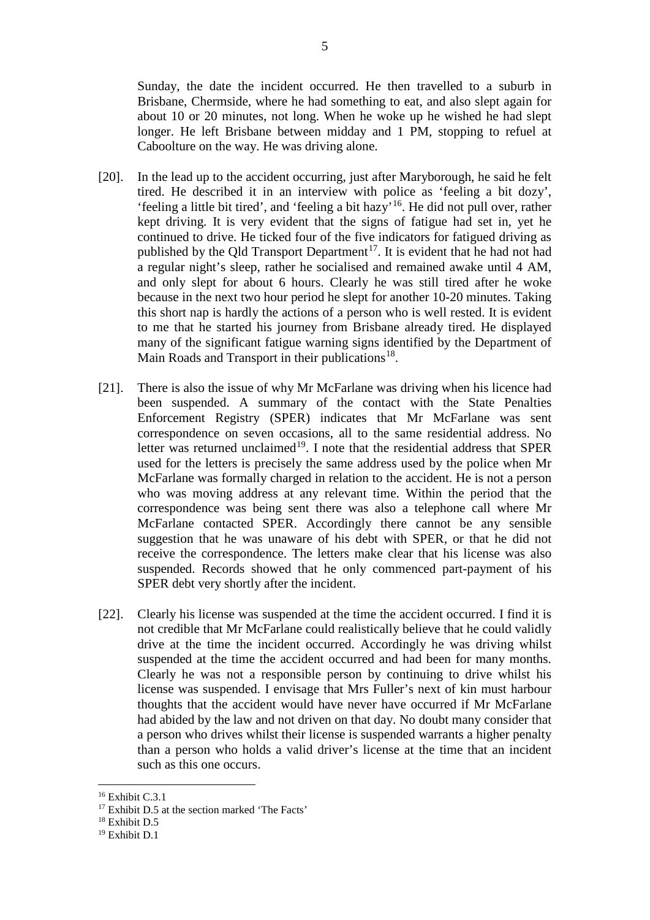Sunday, the date the incident occurred. He then travelled to a suburb in Brisbane, Chermside, where he had something to eat, and also slept again for about 10 or 20 minutes, not long. When he woke up he wished he had slept longer. He left Brisbane between midday and 1 PM, stopping to refuel at Caboolture on the way. He was driving alone.

- [20]. In the lead up to the accident occurring, just after Maryborough, he said he felt tired. He described it in an interview with police as 'feeling a bit dozy', 'feeling a little bit tired', and 'feeling a bit hazy' [16](#page-5-0). He did not pull over, rather kept driving. It is very evident that the signs of fatigue had set in, yet he continued to drive. He ticked four of the five indicators for fatigued driving as published by the Qld Transport Department<sup>17</sup>. It is evident that he had not had a regular night's sleep, rather he socialised and remained awake until 4 AM, and only slept for about 6 hours. Clearly he was still tired after he woke because in the next two hour period he slept for another 10-20 minutes. Taking this short nap is hardly the actions of a person who is well rested. It is evident to me that he started his journey from Brisbane already tired. He displayed many of the significant fatigue warning signs identified by the Department of Main Roads and Transport in their publications<sup>18</sup>.
- [21]. There is also the issue of why Mr McFarlane was driving when his licence had been suspended. A summary of the contact with the State Penalties Enforcement Registry (SPER) indicates that Mr McFarlane was sent correspondence on seven occasions, all to the same residential address. No letter was returned unclaimed<sup>[19](#page-5-3)</sup>. I note that the residential address that SPER used for the letters is precisely the same address used by the police when Mr McFarlane was formally charged in relation to the accident. He is not a person who was moving address at any relevant time. Within the period that the correspondence was being sent there was also a telephone call where Mr McFarlane contacted SPER. Accordingly there cannot be any sensible suggestion that he was unaware of his debt with SPER, or that he did not receive the correspondence. The letters make clear that his license was also suspended. Records showed that he only commenced part-payment of his SPER debt very shortly after the incident.
- [22]. Clearly his license was suspended at the time the accident occurred. I find it is not credible that Mr McFarlane could realistically believe that he could validly drive at the time the incident occurred. Accordingly he was driving whilst suspended at the time the accident occurred and had been for many months. Clearly he was not a responsible person by continuing to drive whilst his license was suspended. I envisage that Mrs Fuller's next of kin must harbour thoughts that the accident would have never have occurred if Mr McFarlane had abided by the law and not driven on that day. No doubt many consider that a person who drives whilst their license is suspended warrants a higher penalty than a person who holds a valid driver's license at the time that an incident such as this one occurs.

<span id="page-5-0"></span><sup>&</sup>lt;sup>16</sup> Exhibit C.3.1

<span id="page-5-1"></span><sup>&</sup>lt;sup>17</sup> Exhibit D.5 at the section marked 'The Facts' <sup>18</sup> Exhibit D.5

<span id="page-5-3"></span><span id="page-5-2"></span><sup>19</sup> Exhibit D.1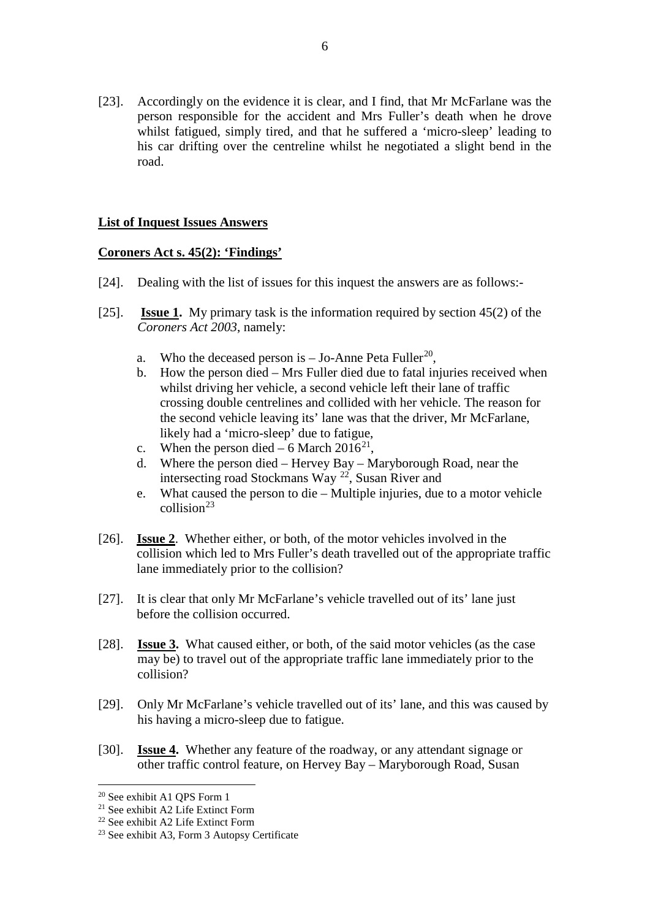[23]. Accordingly on the evidence it is clear, and I find, that Mr McFarlane was the person responsible for the accident and Mrs Fuller's death when he drove whilst fatigued, simply tired, and that he suffered a 'micro-sleep' leading to his car drifting over the centreline whilst he negotiated a slight bend in the road.

## **List of Inquest Issues Answers**

## **Coroners Act s. 45(2): 'Findings'**

- [24]. Dealing with the list of issues for this inquest the answers are as follows:-
- [25]. **Issue 1.** My primary task is the information required by section 45(2) of the *Coroners Act 2003*, namely:
	- a. Who the deceased person is  $-$  Jo-Anne Peta Fuller<sup>20</sup>,
	- b. How the person died Mrs Fuller died due to fatal injuries received when whilst driving her vehicle, a second vehicle left their lane of traffic crossing double centrelines and collided with her vehicle. The reason for the second vehicle leaving its' lane was that the driver, Mr McFarlane, likely had a 'micro-sleep' due to fatigue,
	- c. When the person died 6 March 2016<sup>21</sup>,
	- d. Where the person died Hervey Bay Maryborough Road, near the intersecting road Stockmans Way [22,](#page-6-2) Susan River and
	- e. What caused the person to die Multiple injuries, due to a motor vehicle  $collision<sup>23</sup>$  $collision<sup>23</sup>$  $collision<sup>23</sup>$
- [26]. **Issue 2**. Whether either, or both, of the motor vehicles involved in the collision which led to Mrs Fuller's death travelled out of the appropriate traffic lane immediately prior to the collision?
- [27]. It is clear that only Mr McFarlane's vehicle travelled out of its' lane just before the collision occurred.
- [28]. **Issue 3.** What caused either, or both, of the said motor vehicles (as the case may be) to travel out of the appropriate traffic lane immediately prior to the collision?
- [29]. Only Mr McFarlane's vehicle travelled out of its' lane, and this was caused by his having a micro-sleep due to fatigue.
- [30]. **Issue 4.** Whether any feature of the roadway, or any attendant signage or other traffic control feature, on Hervey Bay – Maryborough Road, Susan

<span id="page-6-0"></span><sup>20</sup> See exhibit A1 QPS Form 1

<span id="page-6-1"></span><sup>21</sup> See exhibit A2 Life Extinct Form

<span id="page-6-2"></span><sup>22</sup> See exhibit A2 Life Extinct Form

<span id="page-6-3"></span><sup>23</sup> See exhibit A3, Form 3 Autopsy Certificate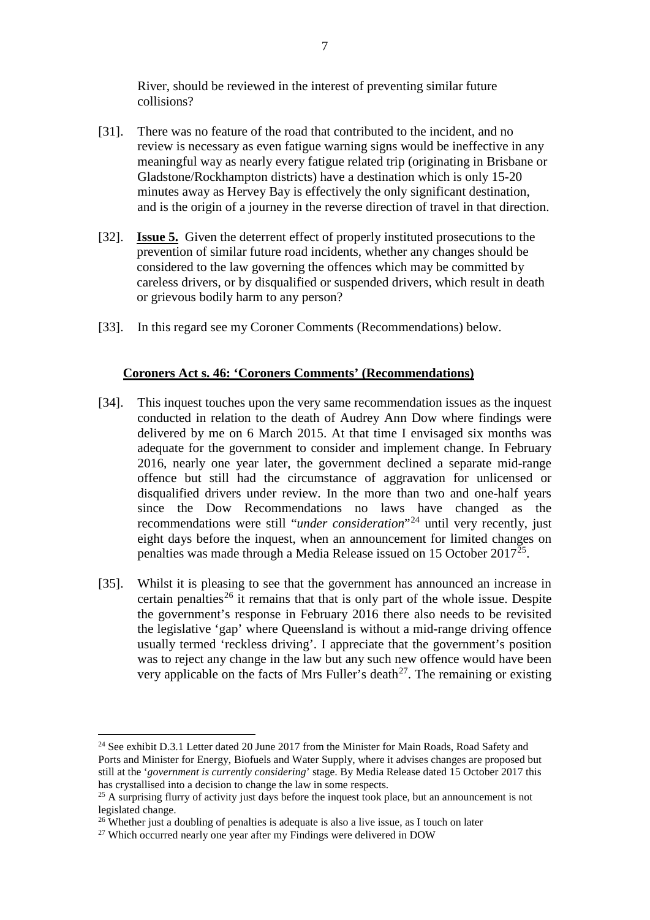River, should be reviewed in the interest of preventing similar future collisions?

- [31]. There was no feature of the road that contributed to the incident, and no review is necessary as even fatigue warning signs would be ineffective in any meaningful way as nearly every fatigue related trip (originating in Brisbane or Gladstone/Rockhampton districts) have a destination which is only 15-20 minutes away as Hervey Bay is effectively the only significant destination, and is the origin of a journey in the reverse direction of travel in that direction.
- [32]. **Issue 5.** Given the deterrent effect of properly instituted prosecutions to the prevention of similar future road incidents, whether any changes should be considered to the law governing the offences which may be committed by careless drivers, or by disqualified or suspended drivers, which result in death or grievous bodily harm to any person?
- [33]. In this regard see my Coroner Comments (Recommendations) below.

## **Coroners Act s. 46: 'Coroners Comments' (Recommendations)**

- [34]. This inquest touches upon the very same recommendation issues as the inquest conducted in relation to the death of Audrey Ann Dow where findings were delivered by me on 6 March 2015. At that time I envisaged six months was adequate for the government to consider and implement change. In February 2016, nearly one year later, the government declined a separate mid-range offence but still had the circumstance of aggravation for unlicensed or disqualified drivers under review. In the more than two and one-half years since the Dow Recommendations no laws have changed as the recommendations were still "*under consideration*"[24](#page-7-0) until very recently, just eight days before the inquest, when an announcement for limited changes on penalties was made through a Media Release issued on 15 October 2017[25](#page-7-1).
- [35]. Whilst it is pleasing to see that the government has announced an increase in certain penalties<sup>[26](#page-7-2)</sup> it remains that that is only part of the whole issue. Despite the government's response in February 2016 there also needs to be revisited the legislative 'gap' where Queensland is without a mid-range driving offence usually termed 'reckless driving'. I appreciate that the government's position was to reject any change in the law but any such new offence would have been very applicable on the facts of Mrs Fuller's death<sup>27</sup>. The remaining or existing

<span id="page-7-0"></span><sup>&</sup>lt;sup>24</sup> See exhibit D.3.1 Letter dated 20 June 2017 from the Minister for Main Roads, Road Safety and Ports and Minister for Energy, Biofuels and Water Supply, where it advises changes are proposed but still at the '*government is currently considering*' stage. By Media Release dated 15 October 2017 this has crystallised into a decision to change the law in some respects.

<span id="page-7-1"></span><sup>&</sup>lt;sup>25</sup> A surprising flurry of activity just days before the inquest took place, but an announcement is not legislated change.

<span id="page-7-2"></span> $26$  Whether just a doubling of penalties is adequate is also a live issue, as I touch on later

<span id="page-7-3"></span> $27$  Which occurred nearly one year after my Findings were delivered in DOW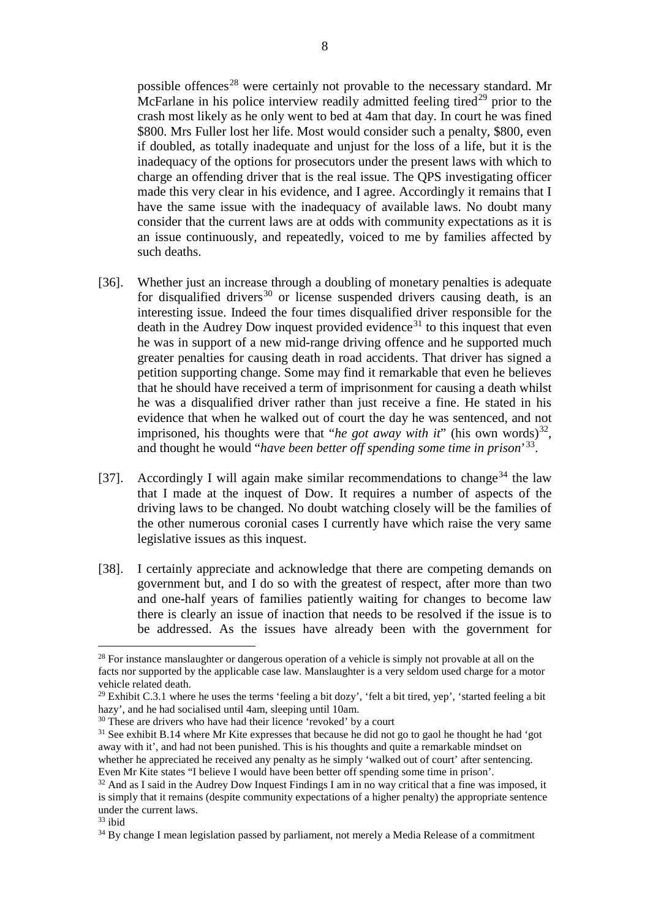possible offences<sup>[28](#page-8-0)</sup> were certainly not provable to the necessary standard. Mr McFarlane in his police interview readily admitted feeling tired<sup>[29](#page-8-1)</sup> prior to the crash most likely as he only went to bed at 4am that day. In court he was fined \$800. Mrs Fuller lost her life. Most would consider such a penalty, \$800, even if doubled, as totally inadequate and unjust for the loss of a life, but it is the inadequacy of the options for prosecutors under the present laws with which to charge an offending driver that is the real issue. The QPS investigating officer made this very clear in his evidence, and I agree. Accordingly it remains that I have the same issue with the inadequacy of available laws. No doubt many consider that the current laws are at odds with community expectations as it is an issue continuously, and repeatedly, voiced to me by families affected by such deaths.

- [36]. Whether just an increase through a doubling of monetary penalties is adequate for disqualified drivers<sup>[30](#page-8-2)</sup> or license suspended drivers causing death, is an interesting issue. Indeed the four times disqualified driver responsible for the death in the Audrey Dow inquest provided evidence<sup>[31](#page-8-3)</sup> to this inquest that even he was in support of a new mid-range driving offence and he supported much greater penalties for causing death in road accidents. That driver has signed a petition supporting change. Some may find it remarkable that even he believes that he should have received a term of imprisonment for causing a death whilst he was a disqualified driver rather than just receive a fine. He stated in his evidence that when he walked out of court the day he was sentenced, and not imprisoned, his thoughts were that "*he got away with it*" (his own words)<sup>[32](#page-8-4)</sup>, and thought he would "*have been better off spending some time in prison*' [33](#page-8-5).
- [37]. Accordingly I will again make similar recommendations to change<sup>[34](#page-8-6)</sup> the law that I made at the inquest of Dow. It requires a number of aspects of the driving laws to be changed. No doubt watching closely will be the families of the other numerous coronial cases I currently have which raise the very same legislative issues as this inquest.
- [38]. I certainly appreciate and acknowledge that there are competing demands on government but, and I do so with the greatest of respect, after more than two and one-half years of families patiently waiting for changes to become law there is clearly an issue of inaction that needs to be resolved if the issue is to be addressed. As the issues have already been with the government for

<span id="page-8-0"></span><sup>&</sup>lt;sup>28</sup> For instance manslaughter or dangerous operation of a vehicle is simply not provable at all on the facts nor supported by the applicable case law. Manslaughter is a very seldom used charge for a motor vehicle related death.

<span id="page-8-1"></span><sup>&</sup>lt;sup>29</sup> Exhibit C.3.1 where he uses the terms 'feeling a bit dozy', 'felt a bit tired, yep', 'started feeling a bit hazy', and he had socialised until 4am, sleeping until 10am.

<span id="page-8-2"></span><sup>&</sup>lt;sup>30</sup> These are drivers who have had their licence 'revoked' by a court

<span id="page-8-3"></span><sup>&</sup>lt;sup>31</sup> See exhibit B.14 where Mr Kite expresses that because he did not go to gaol he thought he had 'got away with it', and had not been punished. This is his thoughts and quite a remarkable mindset on whether he appreciated he received any penalty as he simply 'walked out of court' after sentencing. Even Mr Kite states "I believe I would have been better off spending some time in prison'.

<span id="page-8-4"></span> $32$  And as I said in the Audrey Dow Inquest Findings I am in no way critical that a fine was imposed, it is simply that it remains (despite community expectations of a higher penalty) the appropriate sentence under the current laws.

<span id="page-8-5"></span> $33$  ibid

<span id="page-8-6"></span><sup>&</sup>lt;sup>34</sup> By change I mean legislation passed by parliament, not merely a Media Release of a commitment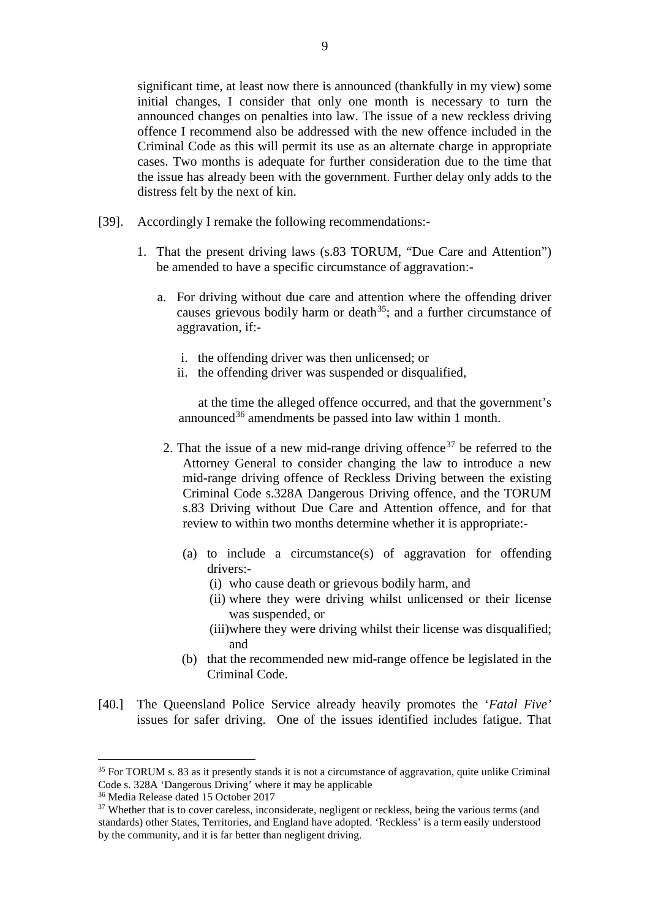significant time, at least now there is announced (thankfully in my view) some initial changes, I consider that only one month is necessary to turn the announced changes on penalties into law. The issue of a new reckless driving offence I recommend also be addressed with the new offence included in the Criminal Code as this will permit its use as an alternate charge in appropriate cases. Two months is adequate for further consideration due to the time that the issue has already been with the government. Further delay only adds to the distress felt by the next of kin.

- [39]. Accordingly I remake the following recommendations:-
	- 1. That the present driving laws (s.83 TORUM, "Due Care and Attention") be amended to have a specific circumstance of aggravation:
		- a. For driving without due care and attention where the offending driver causes grievous bodily harm or death<sup>[35](#page-9-0)</sup>; and a further circumstance of aggravation, if:
			- i. the offending driver was then unlicensed; or
			- ii. the offending driver was suspended or disqualified,

at the time the alleged offence occurred, and that the government's announced<sup>[36](#page-9-1)</sup> amendments be passed into law within 1 month.

- 2. That the issue of a new mid-range driving offence<sup>[37](#page-9-2)</sup> be referred to the Attorney General to consider changing the law to introduce a new mid-range driving offence of Reckless Driving between the existing Criminal Code s.328A Dangerous Driving offence, and the TORUM s.83 Driving without Due Care and Attention offence, and for that review to within two months determine whether it is appropriate:-
	- (a) to include a circumstance(s) of aggravation for offending drivers:-
		- (i) who cause death or grievous bodily harm, and
		- (ii) where they were driving whilst unlicensed or their license was suspended, or
		- (iii)where they were driving whilst their license was disqualified; and
	- (b) that the recommended new mid-range offence be legislated in the Criminal Code.
- [40.] The Queensland Police Service already heavily promotes the '*Fatal Five'* issues for safer driving. One of the issues identified includes fatigue. That

-

<span id="page-9-0"></span><sup>&</sup>lt;sup>35</sup> For TORUM s. 83 as it presently stands it is not a circumstance of aggravation, quite unlike Criminal Code s. 328A 'Dangerous Driving' where it may be applicable

<span id="page-9-1"></span><sup>36</sup> Media Release dated 15 October 2017

<span id="page-9-2"></span><sup>&</sup>lt;sup>37</sup> Whether that is to cover careless, inconsiderate, negligent or reckless, being the various terms (and standards) other States, Territories, and England have adopted. 'Reckless' is a term easily understood by the community, and it is far better than negligent driving.